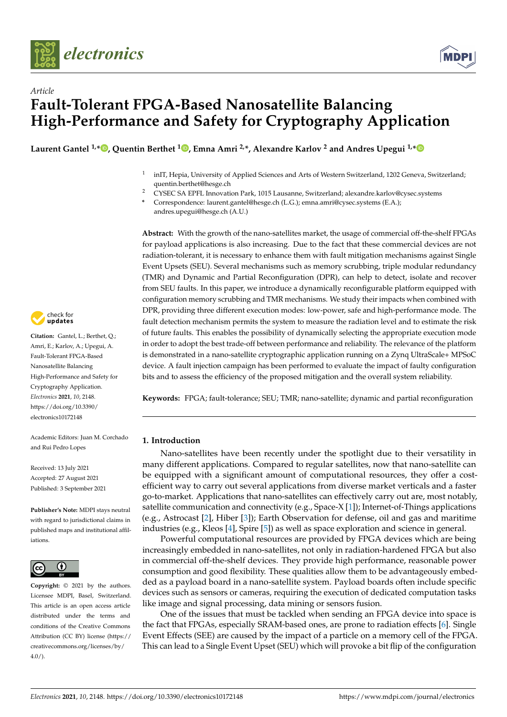



# *Article* **Fault-Tolerant FPGA-Based Nanosatellite Balancing High-Performance and Safety for Cryptography Application**

**Laurent Gantel 1,[\\*](https://orcid.org/0000-0001-8596-9010) , Quentin Berthet <sup>1</sup> [,](https://orcid.org/0000-0001-7272-0013) Emna Amri 2,\*, Alexandre Karlov <sup>2</sup> and Andres Upegui 1,[\\*](https://orcid.org/0000-0003-3841-2863)**

- 1 inIT, Hepia, University of Applied Sciences and Arts of Western Switzerland, 1202 Geneva, Switzerland; quentin.berthet@hesge.ch
- <sup>2</sup> CYSEC SA EPFL Innovation Park, 1015 Lausanne, Switzerland; alexandre.karlov@cysec.systems

**\*** Correspondence: laurent.gantel@hesge.ch (L.G.); emna.amri@cysec.systems (E.A.); andres.upegui@hesge.ch (A.U.)

**Abstract:** With the growth of the nano-satellites market, the usage of commercial off-the-shelf FPGAs for payload applications is also increasing. Due to the fact that these commercial devices are not radiation-tolerant, it is necessary to enhance them with fault mitigation mechanisms against Single Event Upsets (SEU). Several mechanisms such as memory scrubbing, triple modular redundancy (TMR) and Dynamic and Partial Reconfiguration (DPR), can help to detect, isolate and recover from SEU faults. In this paper, we introduce a dynamically reconfigurable platform equipped with configuration memory scrubbing and TMR mechanisms. We study their impacts when combined with DPR, providing three different execution modes: low-power, safe and high-performance mode. The fault detection mechanism permits the system to measure the radiation level and to estimate the risk of future faults. This enables the possibility of dynamically selecting the appropriate execution mode in order to adopt the best trade-off between performance and reliability. The relevance of the platform is demonstrated in a nano-satellite cryptographic application running on a Zynq UltraScale+ MPSoC device. A fault injection campaign has been performed to evaluate the impact of faulty configuration bits and to assess the efficiency of the proposed mitigation and the overall system reliability.

**Keywords:** FPGA; fault-tolerance; SEU; TMR; nano-satellite; dynamic and partial reconfiguration

# **1. Introduction**

Nano-satellites have been recently under the spotlight due to their versatility in many different applications. Compared to regular satellites, now that nano-satellite can be equipped with a significant amount of computational resources, they offer a costefficient way to carry out several applications from diverse market verticals and a faster go-to-market. Applications that nano-satellites can effectively carry out are, most notably, satellite communication and connectivity (e.g., Space-X [\[1\]](#page-10-0)); Internet-of-Things applications (e.g., Astrocast [\[2\]](#page-10-1), Hiber [\[3\]](#page-10-2)); Earth Observation for defense, oil and gas and maritime industries (e.g., Kleos [\[4\]](#page-10-3), Spire [\[5\]](#page-10-4)) as well as space exploration and science in general.

Powerful computational resources are provided by FPGA devices which are being increasingly embedded in nano-satellites, not only in radiation-hardened FPGA but also in commercial off-the-shelf devices. They provide high performance, reasonable power consumption and good flexibility. These qualities allow them to be advantageously embedded as a payload board in a nano-satellite system. Payload boards often include specific devices such as sensors or cameras, requiring the execution of dedicated computation tasks like image and signal processing, data mining or sensors fusion.

One of the issues that must be tackled when sending an FPGA device into space is the fact that FPGAs, especially SRAM-based ones, are prone to radiation effects [\[6\]](#page-10-5). Single Event Effects (SEE) are caused by the impact of a particle on a memory cell of the FPGA. This can lead to a Single Event Upset (SEU) which will provoke a bit flip of the configuration



**Citation:** Gantel, L.; Berthet, Q.; Amri, E.; Karlov, A.; Upegui, A. Fault-Tolerant FPGA-Based Nanosatellite Balancing High-Performance and Safety for Cryptography Application. *Electronics* **2021**, *10*, 2148. [https://doi.org/10.3390/](https://doi.org/10.3390/electronics10172148) [electronics10172148](https://doi.org/10.3390/electronics10172148)

Academic Editors: Juan M. Corchado and Rui Pedro Lopes

Received: 13 July 2021 Accepted: 27 August 2021 Published: 3 September 2021

**Publisher's Note:** MDPI stays neutral with regard to jurisdictional claims in published maps and institutional affiliations.



**Copyright:** © 2021 by the authors. Licensee MDPI, Basel, Switzerland. This article is an open access article distributed under the terms and conditions of the Creative Commons Attribution (CC BY) license (https:/[/](https://creativecommons.org/licenses/by/4.0/) [creativecommons.org/licenses/by/](https://creativecommons.org/licenses/by/4.0/)  $4.0/$ ).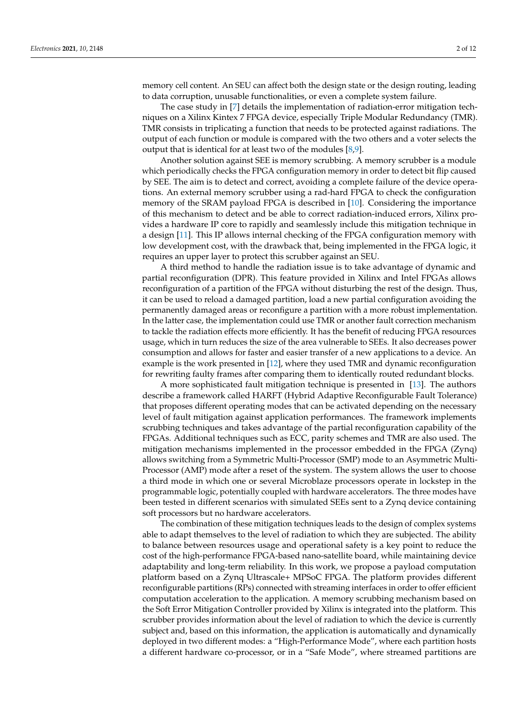memory cell content. An SEU can affect both the design state or the design routing, leading to data corruption, unusable functionalities, or even a complete system failure.

The case study in [\[7\]](#page-10-6) details the implementation of radiation-error mitigation techniques on a Xilinx Kintex 7 FPGA device, especially Triple Modular Redundancy (TMR). TMR consists in triplicating a function that needs to be protected against radiations. The output of each function or module is compared with the two others and a voter selects the output that is identical for at least two of the modules  $[8,9]$  $[8,9]$ .

Another solution against SEE is memory scrubbing. A memory scrubber is a module which periodically checks the FPGA configuration memory in order to detect bit flip caused by SEE. The aim is to detect and correct, avoiding a complete failure of the device operations. An external memory scrubber using a rad-hard FPGA to check the configuration memory of the SRAM payload FPGA is described in [\[10\]](#page-10-9). Considering the importance of this mechanism to detect and be able to correct radiation-induced errors, Xilinx provides a hardware IP core to rapidly and seamlessly include this mitigation technique in a design [\[11\]](#page-10-10). This IP allows internal checking of the FPGA configuration memory with low development cost, with the drawback that, being implemented in the FPGA logic, it requires an upper layer to protect this scrubber against an SEU.

A third method to handle the radiation issue is to take advantage of dynamic and partial reconfiguration (DPR). This feature provided in Xilinx and Intel FPGAs allows reconfiguration of a partition of the FPGA without disturbing the rest of the design. Thus, it can be used to reload a damaged partition, load a new partial configuration avoiding the permanently damaged areas or reconfigure a partition with a more robust implementation. In the latter case, the implementation could use TMR or another fault correction mechanism to tackle the radiation effects more efficiently. It has the benefit of reducing FPGA resources usage, which in turn reduces the size of the area vulnerable to SEEs. It also decreases power consumption and allows for faster and easier transfer of a new applications to a device. An example is the work presented in [\[12\]](#page-10-11), where they used TMR and dynamic reconfiguration for rewriting faulty frames after comparing them to identically routed redundant blocks.

A more sophisticated fault mitigation technique is presented in [\[13\]](#page-10-12). The authors describe a framework called HARFT (Hybrid Adaptive Reconfigurable Fault Tolerance) that proposes different operating modes that can be activated depending on the necessary level of fault mitigation against application performances. The framework implements scrubbing techniques and takes advantage of the partial reconfiguration capability of the FPGAs. Additional techniques such as ECC, parity schemes and TMR are also used. The mitigation mechanisms implemented in the processor embedded in the FPGA (Zynq) allows switching from a Symmetric Multi-Processor (SMP) mode to an Asymmetric Multi-Processor (AMP) mode after a reset of the system. The system allows the user to choose a third mode in which one or several Microblaze processors operate in lockstep in the programmable logic, potentially coupled with hardware accelerators. The three modes have been tested in different scenarios with simulated SEEs sent to a Zynq device containing soft processors but no hardware accelerators.

The combination of these mitigation techniques leads to the design of complex systems able to adapt themselves to the level of radiation to which they are subjected. The ability to balance between resources usage and operational safety is a key point to reduce the cost of the high-performance FPGA-based nano-satellite board, while maintaining device adaptability and long-term reliability. In this work, we propose a payload computation platform based on a Zynq Ultrascale+ MPSoC FPGA. The platform provides different reconfigurable partitions (RPs) connected with streaming interfaces in order to offer efficient computation acceleration to the application. A memory scrubbing mechanism based on the Soft Error Mitigation Controller provided by Xilinx is integrated into the platform. This scrubber provides information about the level of radiation to which the device is currently subject and, based on this information, the application is automatically and dynamically deployed in two different modes: a "High-Performance Mode", where each partition hosts a different hardware co-processor, or in a "Safe Mode", where streamed partitions are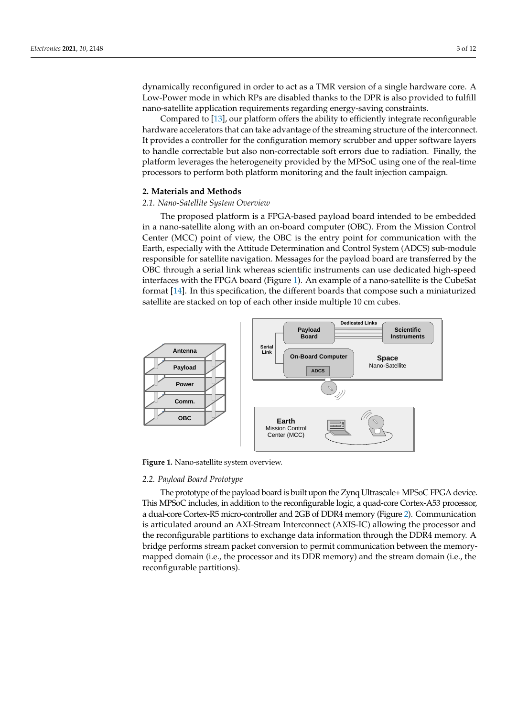dynamically reconfigured in order to act as a TMR version of a single hardware core. A Low-Power mode in which RPs are disabled thanks to the DPR is also provided to fulfill nano-satellite application requirements regarding energy-saving constraints.

Compared to [\[13\]](#page-10-12), our platform offers the ability to efficiently integrate reconfigurable hardware accelerators that can take advantage of the streaming structure of the interconnect. It provides a controller for the configuration memory scrubber and upper software layers to handle correctable but also non-correctable soft errors due to radiation. Finally, the platform leverages the heterogeneity provided by the MPSoC using one of the real-time processors to perform both platform monitoring and the fault injection campaign.

## **2. Materials and Methods**

## *2.1. Nano-Satellite System Overview*

The proposed platform is a FPGA-based payload board intended to be embedded in a nano-satellite along with an on-board computer (OBC). From the Mission Control Center (MCC) point of view, the OBC is the entry point for communication with the Earth, especially with the Attitude Determination and Control System (ADCS) sub-module responsible for satellite navigation. Messages for the payload board are transferred by the OBC through a serial link whereas scientific instruments can use dedicated high-speed interfaces with the FPGA board (Figure [1\)](#page-2-0). An example of a nano-satellite is the CubeSat format [\[14\]](#page-10-13). In this specification, the different boards that compose such a miniaturized satellite are stacked on top of each other inside multiple 10 cm cubes.

<span id="page-2-0"></span>

**Figure 1.** Nano-satellite system overview.

## *2.2. Payload Board Prototype*

The prototype of the payload board is built upon the Zynq Ultrascale+ MPSoC FPGA device. This MPSoC includes, in addition to the reconfigurable logic, a quad-core Cortex-A53 processor, a dual-core Cortex-R5 micro-controller and 2GB of DDR4 memory (Figure [2\)](#page-3-0). Communication is articulated around an AXI-Stream Interconnect (AXIS-IC) allowing the processor and the reconfigurable partitions to exchange data information through the DDR4 memory. A bridge performs stream packet conversion to permit communication between the memorymapped domain (i.e., the processor and its DDR memory) and the stream domain (i.e., the reconfigurable partitions).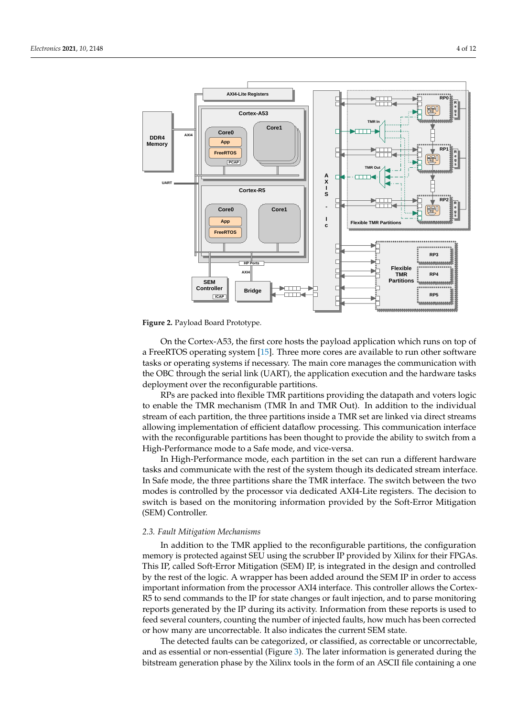

<span id="page-3-0"></span>

**Figure 2.** Payload Board Prototype.

On the Cortex-A53, the first core hosts the payload application which runs on top of a FreeRTOS operating system [\[15\]](#page-10-14). Three more cores are available to run other software tasks or operating systems if necessary. The main core manages the communication with the OBC through the serial link (UART), the application execution and the hardware tasks deployment over the reconfigurable partitions.

RPs are packed into flexible TMR partitions providing the datapath and voters logic to enable the TMR mechanism (TMR In and TMR Out). In addition to the individual stream of each partition, the three partitions inside a TMR set are linked via direct streams allowing implementation of efficient dataflow processing. This communication interface with the reconfigurable partitions has been thought to provide the ability to switch from a High-Performance mode to a Safe mode, and vice-versa.

In High-Performance mode, each partition in the set can run a different hardware tasks and communicate with the rest of the system though its dedicated stream interface. In Safe mode, the three partitions share the TMR interface. The switch between the two modes is controlled by the processor via dedicated AXI4-Lite registers. The decision to switch is based on the monitoring information provided by the Soft-Error Mitigation (SEM) Controller.

#### *2.3. Fault Mitigation Mechanisms*

In addition to the TMR applied to the reconfigurable partitions, the configuration memory is protected against SEU using the scrubber IP provided by Xilinx for their FPGAs. This IP, called Soft-Error Mitigation (SEM) IP, is integrated in the design and controlled by the rest of the logic. A wrapper has been added around the SEM IP in order to access important information from the processor AXI4 interface. This controller allows the Cortex-R5 to send commands to the IP for state changes or fault injection, and to parse monitoring reports generated by the IP during its activity. Information from these reports is used to feed several counters, counting the number of injected faults, how much has been corrected or how many are uncorrectable. It also indicates the current SEM state.

The detected faults can be categorized, or classified, as correctable or uncorrectable, and as essential or non-essential (Figure [3\)](#page-4-0). The later information is generated during the bitstream generation phase by the Xilinx tools in the form of an ASCII file containing a one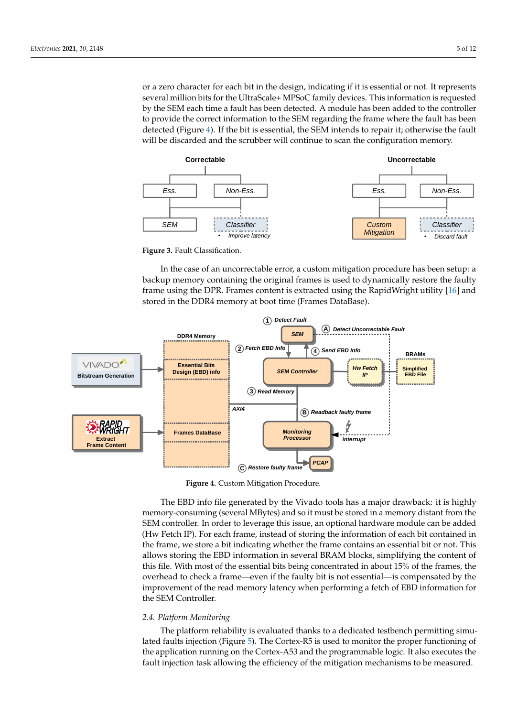or a zero character for each bit in the design, indicating if it is essential or not. It represents several million bits for the UltraScale+ MPSoC family devices. This information is requested by the SEM each time a fault has been detected. A module has been added to the controller to provide the correct information to the SEM regarding the frame where the fault has been detected (Figure [4\)](#page-4-1). If the bit is essential, the SEM intends to repair it; otherwise the fault will be discarded and the scrubber will continue to scan the configuration memory.

<span id="page-4-0"></span>

**Figure 3.** Fault Classification.

In the case of an uncorrectable error, a custom mitigation procedure has been setup: a backup memory containing the original frames is used to dynamically restore the faulty frame using the DPR. Frames content is extracted using the RapidWright utility [\[16\]](#page-10-15) and stored in the DDR4 memory at boot time (Frames DataBase).

<span id="page-4-1"></span>

**Figure 4.** Custom Mitigation Procedure.

The EBD info file generated by the Vivado tools has a major drawback: it is highly memory-consuming (several MBytes) and so it must be stored in a memory distant from the SEM controller. In order to leverage this issue, an optional hardware module can be added (Hw Fetch IP). For each frame, instead of storing the information of each bit contained in the frame, we store a bit indicating whether the frame contains an essential bit or not. This allows storing the EBD information in several BRAM blocks, simplifying the content of this file. With most of the essential bits being concentrated in about 15% of the frames, the overhead to check a frame—even if the faulty bit is not essential—is compensated by the improvement of the read memory latency when performing a fetch of EBD information for the SEM Controller.

## *2.4. Platform Monitoring*

The platform reliability is evaluated thanks to a dedicated testbench permitting simulated faults injection (Figure [5\)](#page-5-0). The Cortex-R5 is used to monitor the proper functioning of the application running on the Cortex-A53 and the programmable logic. It also executes the fault injection task allowing the efficiency of the mitigation mechanisms to be measured.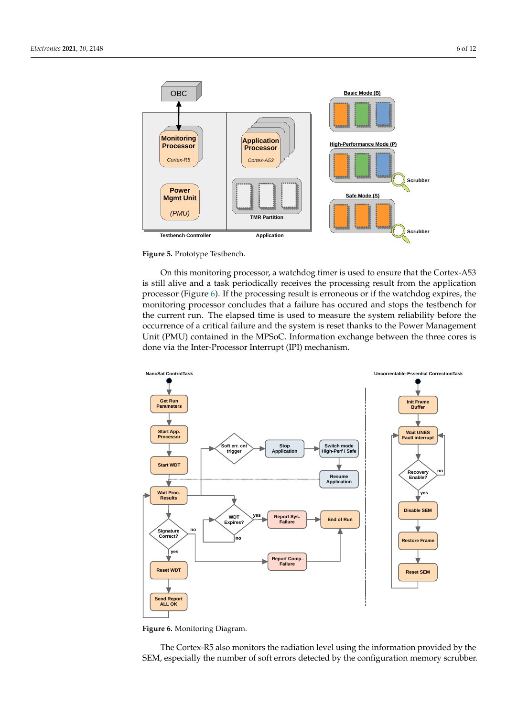

<span id="page-5-0"></span>

**Figure 5.** Prototype Testbench.

OBC

On this monitoring processor, a watchdog timer is used to ensure that the Cortex-A53 is still alive and a task periodically receives the processing result from the application processor (Figure [6\)](#page-5-1). If the processing result is erroneous or if the watchdog expires, the monitoring processor concludes that a failure has occured and stops the testbench for the current run. The elapsed time is used to measure the system reliability before the occurrence of a critical failure and the system is reset thanks to the Power Management Unit (PMU) contained in the MPSoC. Information exchange between the three cores is done via the Inter-Processor Interrupt (IPI) mechanism.

<span id="page-5-1"></span>

**Figure 6.** Monitoring Diagram.

The Cortex-R5 also monitors the radiation level using the information provided by the SEM, especially the number of soft errors detected by the configuration memory scrubber.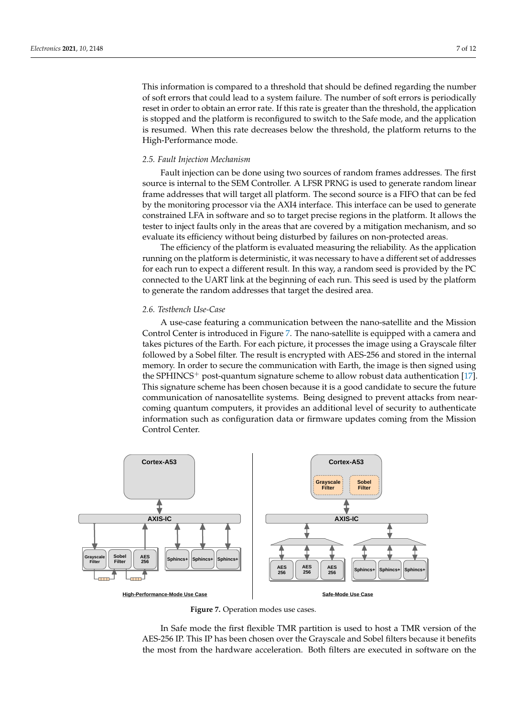This information is compared to a threshold that should be defined regarding the number of soft errors that could lead to a system failure. The number of soft errors is periodically reset in order to obtain an error rate. If this rate is greater than the threshold, the application is stopped and the platform is reconfigured to switch to the Safe mode, and the application is resumed. When this rate decreases below the threshold, the platform returns to the High-Performance mode.

## *2.5. Fault Injection Mechanism*

Fault injection can be done using two sources of random frames addresses. The first source is internal to the SEM Controller. A LFSR PRNG is used to generate random linear frame addresses that will target all platform. The second source is a FIFO that can be fed by the monitoring processor via the AXI4 interface. This interface can be used to generate constrained LFA in software and so to target precise regions in the platform. It allows the tester to inject faults only in the areas that are covered by a mitigation mechanism, and so evaluate its efficiency without being disturbed by failures on non-protected areas.

The efficiency of the platform is evaluated measuring the reliability. As the application running on the platform is deterministic, it was necessary to have a different set of addresses for each run to expect a different result. In this way, a random seed is provided by the PC connected to the UART link at the beginning of each run. This seed is used by the platform to generate the random addresses that target the desired area.

# *2.6. Testbench Use-Case*

A use-case featuring a communication between the nano-satellite and the Mission Control Center is introduced in Figure [7.](#page-6-0) The nano-satellite is equipped with a camera and takes pictures of the Earth. For each picture, it processes the image using a Grayscale filter followed by a Sobel filter. The result is encrypted with AES-256 and stored in the internal memory. In order to secure the communication with Earth, the image is then signed using the SPHINCS<sup>+</sup> post-quantum signature scheme to allow robust data authentication [\[17\]](#page-11-0). This signature scheme has been chosen because it is a good candidate to secure the future communication of nanosatellite systems. Being designed to prevent attacks from nearcoming quantum computers, it provides an additional level of security to authenticate information such as configuration data or firmware updates coming from the Mission Control Center.

<span id="page-6-0"></span>

**Figure 7.** Operation modes use cases.

In Safe mode the first flexible TMR partition is used to host a TMR version of the AES-256 IP. This IP has been chosen over the Grayscale and Sobel filters because it benefits the most from the hardware acceleration. Both filters are executed in software on the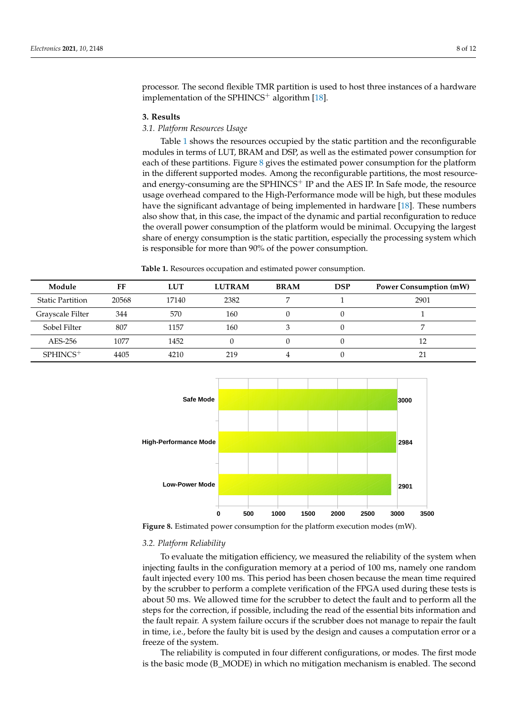processor. The second flexible TMR partition is used to host three instances of a hardware implementation of the SPHINCS<sup>+</sup> algorithm  $[18]$ .

## **3. Results**

## *3.1. Platform Resources Usage*

Table [1](#page-7-0) shows the resources occupied by the static partition and the reconfigurable modules in terms of LUT, BRAM and DSP, as well as the estimated power consumption for each of these partitions. Figure  $8$  gives the estimated power consumption for the platform in the different supported modes. Among the reconfigurable partitions, the most resourceand energy-consuming are the SPHINCS<sup>+</sup> IP and the AES IP. In Safe mode, the resource usage overhead compared to the High-Performance mode will be high, but these modules have the significant advantage of being implemented in hardware [\[18\]](#page-11-1). These numbers also show that, in this case, the impact of the dynamic and partial reconfiguration to reduce the overall power consumption of the platform would be minimal. Occupying the largest share of energy consumption is the static partition, especially the processing system which is responsible for more than 90% of the power consumption.

**Table 1.** Resources occupation and estimated power consumption.

<span id="page-7-0"></span>

| Module                  | FF    | <b>LUT</b> | <b>LUTRAM</b> | <b>BRAM</b> | <b>DSP</b> | <b>Power Consumption (mW)</b> |
|-------------------------|-------|------------|---------------|-------------|------------|-------------------------------|
| <b>Static Partition</b> | 20568 | 17140      | 2382          |             |            | 2901                          |
| Grayscale Filter        | 344   | 570        | 160           |             |            |                               |
| Sobel Filter            | 807   | 1157       | 160           |             |            |                               |
| AES-256                 | 1077  | 1452       |               |             |            | 12                            |
| $SPHINCS$ <sup>+</sup>  | 4405  | 4210       | 219           |             |            | 21                            |

<span id="page-7-1"></span>

**Figure 8.** Estimated power consumption for the platform execution modes (mW).

#### *3.2. Platform Reliability*

To evaluate the mitigation efficiency, we measured the reliability of the system when injecting faults in the configuration memory at a period of 100 ms, namely one random fault injected every 100 ms. This period has been chosen because the mean time required by the scrubber to perform a complete verification of the FPGA used during these tests is about 50 ms. We allowed time for the scrubber to detect the fault and to perform all the steps for the correction, if possible, including the read of the essential bits information and the fault repair. A system failure occurs if the scrubber does not manage to repair the fault in time, i.e., before the faulty bit is used by the design and causes a computation error or a freeze of the system.

The reliability is computed in four different configurations, or modes. The first mode is the basic mode (B\_MODE) in which no mitigation mechanism is enabled. The second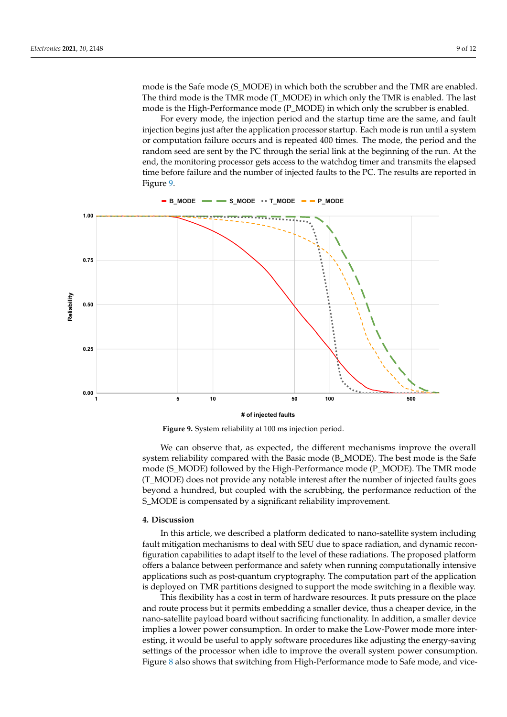mode is the Safe mode (S\_MODE) in which both the scrubber and the TMR are enabled. The third mode is the TMR mode (T\_MODE) in which only the TMR is enabled. The last mode is the High-Performance mode (P\_MODE) in which only the scrubber is enabled.

For every mode, the injection period and the startup time are the same, and fault injection begins just after the application processor startup. Each mode is run until a system or computation failure occurs and is repeated 400 times. The mode, the period and the random seed are sent by the PC through the serial link at the beginning of the run. At the end, the monitoring processor gets access to the watchdog timer and transmits the elapsed time before failure and the number of injected faults to the PC. The results are reported in Figure [9.](#page-8-0)

<span id="page-8-0"></span>**Reliability 0.00 0.25 0.50 0.75 1.00 1 5 10 50 100 500 B\_MODE S\_MODE T\_MODE P\_MODE**

**# of injected faults**

**Figure 9.** System reliability at 100 ms injection period.

We can observe that, as expected, the different mechanisms improve the overall system reliability compared with the Basic mode (B\_MODE). The best mode is the Safe mode (S\_MODE) followed by the High-Performance mode (P\_MODE). The TMR mode (T\_MODE) does not provide any notable interest after the number of injected faults goes beyond a hundred, but coupled with the scrubbing, the performance reduction of the S\_MODE is compensated by a significant reliability improvement.

## **4. Discussion**

In this article, we described a platform dedicated to nano-satellite system including fault mitigation mechanisms to deal with SEU due to space radiation, and dynamic reconfiguration capabilities to adapt itself to the level of these radiations. The proposed platform offers a balance between performance and safety when running computationally intensive applications such as post-quantum cryptography. The computation part of the application is deployed on TMR partitions designed to support the mode switching in a flexible way.

This flexibility has a cost in term of hardware resources. It puts pressure on the place and route process but it permits embedding a smaller device, thus a cheaper device, in the nano-satellite payload board without sacrificing functionality. In addition, a smaller device implies a lower power consumption. In order to make the Low-Power mode more interesting, it would be useful to apply software procedures like adjusting the energy-saving settings of the processor when idle to improve the overall system power consumption. Figure [8](#page-7-1) also shows that switching from High-Performance mode to Safe mode, and vice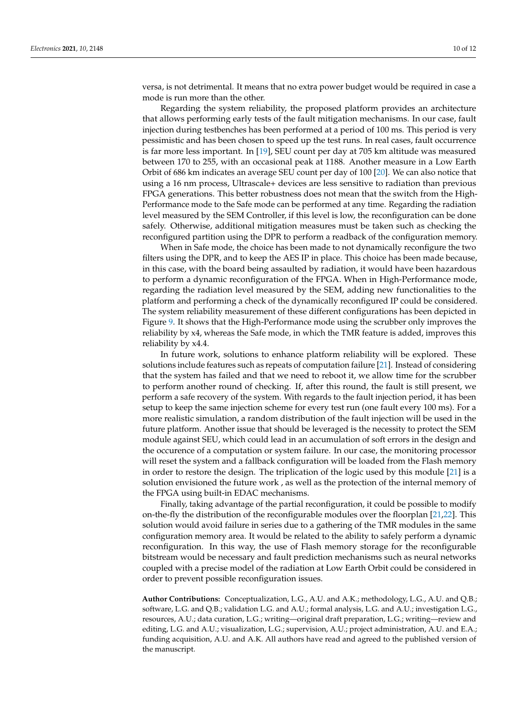versa, is not detrimental. It means that no extra power budget would be required in case a mode is run more than the other.

Regarding the system reliability, the proposed platform provides an architecture that allows performing early tests of the fault mitigation mechanisms. In our case, fault injection during testbenches has been performed at a period of 100 ms. This period is very pessimistic and has been chosen to speed up the test runs. In real cases, fault occurrence is far more less important. In [\[19\]](#page-11-2), SEU count per day at 705 km altitude was measured between 170 to 255, with an occasional peak at 1188. Another measure in a Low Earth Orbit of 686 km indicates an average SEU count per day of 100 [\[20\]](#page-11-3). We can also notice that using a 16 nm process, Ultrascale+ devices are less sensitive to radiation than previous FPGA generations. This better robustness does not mean that the switch from the High-Performance mode to the Safe mode can be performed at any time. Regarding the radiation level measured by the SEM Controller, if this level is low, the reconfiguration can be done safely. Otherwise, additional mitigation measures must be taken such as checking the reconfigured partition using the DPR to perform a readback of the configuration memory.

When in Safe mode, the choice has been made to not dynamically reconfigure the two filters using the DPR, and to keep the AES IP in place. This choice has been made because, in this case, with the board being assaulted by radiation, it would have been hazardous to perform a dynamic reconfiguration of the FPGA. When in High-Performance mode, regarding the radiation level measured by the SEM, adding new functionalities to the platform and performing a check of the dynamically reconfigured IP could be considered. The system reliability measurement of these different configurations has been depicted in Figure [9.](#page-8-0) It shows that the High-Performance mode using the scrubber only improves the reliability by x4, whereas the Safe mode, in which the TMR feature is added, improves this reliability by x4.4.

In future work, solutions to enhance platform reliability will be explored. These solutions include features such as repeats of computation failure [\[21\]](#page-11-4). Instead of considering that the system has failed and that we need to reboot it, we allow time for the scrubber to perform another round of checking. If, after this round, the fault is still present, we perform a safe recovery of the system. With regards to the fault injection period, it has been setup to keep the same injection scheme for every test run (one fault every 100 ms). For a more realistic simulation, a random distribution of the fault injection will be used in the future platform. Another issue that should be leveraged is the necessity to protect the SEM module against SEU, which could lead in an accumulation of soft errors in the design and the occurence of a computation or system failure. In our case, the monitoring processor will reset the system and a fallback configuration will be loaded from the Flash memory in order to restore the design. The triplication of the logic used by this module [\[21\]](#page-11-4) is a solution envisioned the future work , as well as the protection of the internal memory of the FPGA using built-in EDAC mechanisms.

Finally, taking advantage of the partial reconfiguration, it could be possible to modify on-the-fly the distribution of the reconfigurable modules over the floorplan [\[21](#page-11-4)[,22\]](#page-11-5). This solution would avoid failure in series due to a gathering of the TMR modules in the same configuration memory area. It would be related to the ability to safely perform a dynamic reconfiguration. In this way, the use of Flash memory storage for the reconfigurable bitstream would be necessary and fault prediction mechanisms such as neural networks coupled with a precise model of the radiation at Low Earth Orbit could be considered in order to prevent possible reconfiguration issues.

**Author Contributions:** Conceptualization, L.G., A.U. and A.K.; methodology, L.G., A.U. and Q.B.; software, L.G. and Q.B.; validation L.G. and A.U.; formal analysis, L.G. and A.U.; investigation L.G., resources, A.U.; data curation, L.G.; writing—original draft preparation, L.G.; writing—review and editing, L.G. and A.U.; visualization, L.G.; supervision, A.U.; project administration, A.U. and E.A.; funding acquisition, A.U. and A.K. All authors have read and agreed to the published version of the manuscript.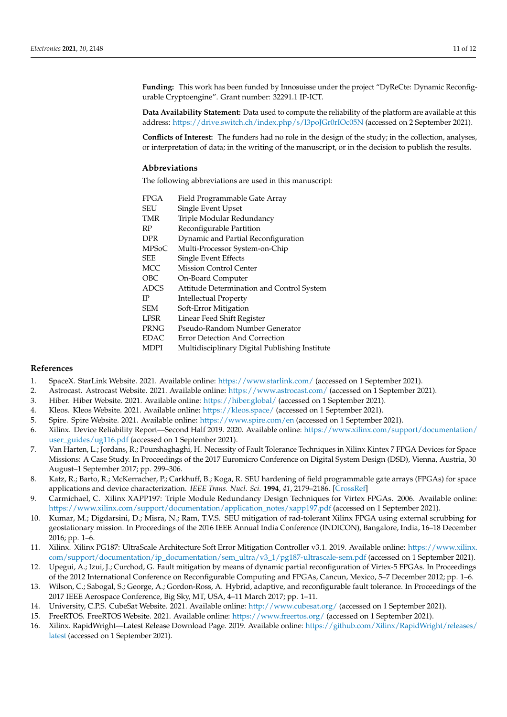**Funding:** This work has been funded by Innosuisse under the project "DyReCte: Dynamic Reconfigurable Cryptoengine". Grant number: 32291.1 IP-ICT.

**Data Availability Statement:** Data used to compute the reliability of the platform are available at this address: <https://drive.switch.ch/index.php/s/l3poJGr0rIOc05N> (accessed on 2 September 2021).

**Conflicts of Interest:** The funders had no role in the design of the study; in the collection, analyses, or interpretation of data; in the writing of the manuscript, or in the decision to publish the results.

## **Abbreviations**

The following abbreviations are used in this manuscript:

| <b>FPGA</b>  | Field Programmable Gate Array                  |
|--------------|------------------------------------------------|
| SEU          | Single Event Upset                             |
| TMR          | Triple Modular Redundancy                      |
| RP           | Reconfigurable Partition                       |
| <b>DPR</b>   | Dynamic and Partial Reconfiguration            |
| <b>MPSoC</b> | Multi-Processor System-on-Chip                 |
| SEE          | Single Event Effects                           |
| MCC          | <b>Mission Control Center</b>                  |
| OBC          | On-Board Computer                              |
| <b>ADCS</b>  | Attitude Determination and Control System      |
| ΙP           | Intellectual Property                          |
| SEM          | Soft-Error Mitigation                          |
| <b>LFSR</b>  | Linear Feed Shift Register                     |
| PRNG         | Pseudo-Random Number Generator                 |
| <b>EDAC</b>  | Error Detection And Correction                 |
| MDPI         | Multidisciplinary Digital Publishing Institute |

## **References**

- <span id="page-10-0"></span>1. SpaceX. StarLink Website. 2021. Available online: <https://www.starlink.com/> (accessed on 1 September 2021).
- <span id="page-10-1"></span>2. Astrocast. Astrocast Website. 2021. Available online: <https://www.astrocast.com/> (accessed on 1 September 2021).
- <span id="page-10-2"></span>3. Hiber. Hiber Website. 2021. Available online: <https://hiber.global/> (accessed on 1 September 2021).
- <span id="page-10-3"></span>4. Kleos. Kleos Website. 2021. Available online: <https://kleos.space/> (accessed on 1 September 2021).
- <span id="page-10-4"></span>5. Spire. Spire Website. 2021. Available online: <https://www.spire.com/en> (accessed on 1 September 2021).
- <span id="page-10-5"></span>6. Xilinx. Device Reliability Report—Second Half 2019. 2020. Available online: [https://www.xilinx.com/support/documentation/](https://www.xilinx.com/support/documentation/user_guides/ug116.pdf) [user\\_guides/ug116.pdf](https://www.xilinx.com/support/documentation/user_guides/ug116.pdf) (accessed on 1 September 2021).
- <span id="page-10-6"></span>7. Van Harten, L.; Jordans, R.; Pourshaghaghi, H. Necessity of Fault Tolerance Techniques in Xilinx Kintex 7 FPGA Devices for Space Missions: A Case Study. In Proceedings of the 2017 Euromicro Conference on Digital System Design (DSD), Vienna, Austria, 30 August–1 September 2017; pp. 299–306.
- <span id="page-10-7"></span>8. Katz, R.; Barto, R.; McKerracher, P.; Carkhuff, B.; Koga, R. SEU hardening of field programmable gate arrays (FPGAs) for space applications and device characterization. *IEEE Trans. Nucl. Sci.* **1994**, *41*, 2179–2186. [\[CrossRef\]](http://doi.org/10.1109/23.340560)
- <span id="page-10-8"></span>9. Carmichael, C. Xilinx XAPP197: Triple Module Redundancy Design Techniques for Virtex FPGAs. 2006. Available online: [https://www.xilinx.com/support/documentation/application\\_notes/xapp197.pdf](https://www.xilinx.com/support/documentation/application_notes/xapp197.pdf) (accessed on 1 September 2021).
- <span id="page-10-9"></span>10. Kumar, M.; Digdarsini, D.; Misra, N.; Ram, T.V.S. SEU mitigation of rad-tolerant Xilinx FPGA using external scrubbing for geostationary mission. In Proceedings of the 2016 IEEE Annual India Conference (INDICON), Bangalore, India, 16–18 December 2016; pp. 1–6.
- <span id="page-10-10"></span>11. Xilinx. Xilinx PG187: UltraScale Architecture Soft Error Mitigation Controller v3.1. 2019. Available online: [https://www.xilinx.](https://www.xilinx.com/support/documentation/ip_documentation/sem_ultra/v3_1/pg187-ultrascale-sem.pdf) [com/support/documentation/ip\\_documentation/sem\\_ultra/v3\\_1/pg187-ultrascale-sem.pdf](https://www.xilinx.com/support/documentation/ip_documentation/sem_ultra/v3_1/pg187-ultrascale-sem.pdf) (accessed on 1 September 2021).
- <span id="page-10-11"></span>12. Upegui, A.; Izui, J.; Curchod, G. Fault mitigation by means of dynamic partial reconfiguration of Virtex-5 FPGAs. In Proceedings of the 2012 International Conference on Reconfigurable Computing and FPGAs, Cancun, Mexico, 5–7 December 2012; pp. 1–6.
- <span id="page-10-12"></span>13. Wilson, C.; Sabogal, S.; George, A.; Gordon-Ross, A. Hybrid, adaptive, and reconfigurable fault tolerance. In Proceedings of the 2017 IEEE Aerospace Conference, Big Sky, MT, USA, 4–11 March 2017; pp. 1–11.
- <span id="page-10-13"></span>14. University, C.P.S. CubeSat Website. 2021. Available online: <http://www.cubesat.org/> (accessed on 1 September 2021).
- <span id="page-10-14"></span>15. FreeRTOS. FreeRTOS Website. 2021. Available online: <https://www.freertos.org/> (accessed on 1 September 2021).
- <span id="page-10-15"></span>16. Xilinx. RapidWright—Latest Release Download Page. 2019. Available online: [https://github.com/Xilinx/RapidWright/releases/](https://github.com/Xilinx/RapidWright/releases/latest) [latest](https://github.com/Xilinx/RapidWright/releases/latest) (accessed on 1 September 2021).